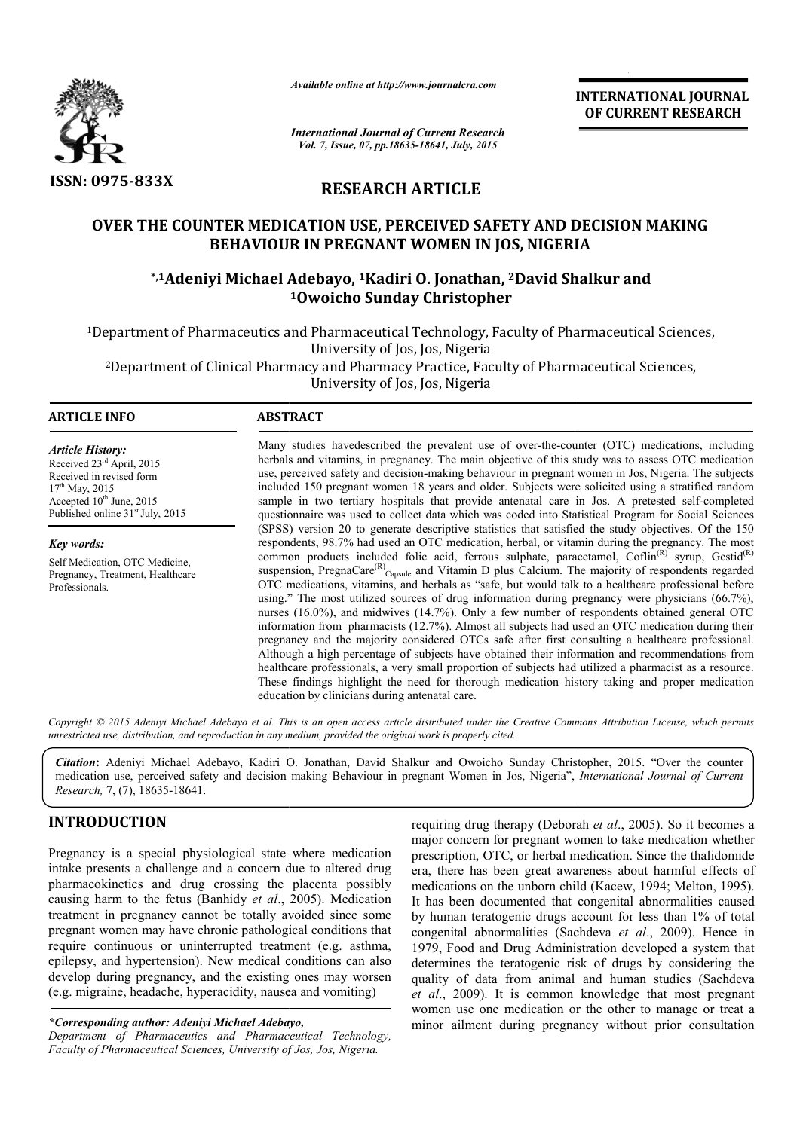

*Available online at http://www.journalcra.com*

**INTERNATIONAL INTERNATIONAL JOURNAL OF CURRENT RESEARCH** 

*International Journal of Current Research Vol. 7, Issue, 07, pp.18635-18641, July, 2015*

# **RESEARCH ARTICLE**

# OVER THE COUNTER MEDICATION USE, PERCEIVED SAFETY AND DECISION MAKING<br>BEHAVIOUR IN PREGNANT WOMEN IN JOS, NIGERIA<br><sup>2</sup> JAdeniyi Michael Adebayo, <sup>1</sup>Kadiri O. Jonathan, <sup>2</sup>David Shalkur and\* **BEHAVIOUR IN PREGNANT WOMEN IN JOS, NIGERIA**

# **\*,1Adeniyi Michael Adebayo, Adeniyi 1Kadiri O. Jonathan, 2David Shalkur and 1Owoicho Sunday Christopher**

<sup>1</sup>Department of Pharmaceutics and Pharmaceutical Technology, Faculty of Pharmaceutical Sciences,<br>University of Jos, Jos, Nigeria <sup>2</sup>Department of Clinical Pharmacy and Pharmacy Practice, Faculty of Pharmaceutical Sciences,<br>University of Jos, Jos, Nigeria

1

#### **ARTICLE INFO ABSTRACT**

*Article History:* Received 23rd April, 2015 Received in revised form  $17^{th}$  May, 2015 Accepted 10<sup>th</sup> June, 2015 Published online 31<sup>st</sup> July, 2015

*Key words:* Self Medication, OTC Medicine, Pregnancy, Treatment, Healthcare Professionals.

Many studies havedescribed the prevalent use of over-the-counter (OTC) medications, including herbals and vitamins, in pregnancy. The main objective of this study was to assess OTC medication Many studies havedescribed the prevalent use of over-the-counter (OTC) medications, including herbals and vitamins, in pregnancy. The main objective of this study was to assess OTC medication use, perceived safety and deci included 150 pregnant women 18 years and older. Subjects were solicited using a stratified random included 150 pregnant women 18 years and older. Subjects were solicited using a stratified random<br>sample in two tertiary hospitals that provide antenatal care in Jos. A pretested self-completed questionnaire was used to collect data which was coded into Statistical Program for Social Sciences (SPSS) version 20 to generate descriptive statistics that satisfied the study objectives. Of the 150 questionnaire was used to collect data which was coded into Statistical Program for Social Sciences (SPSS) version 20 to generate descriptive statistics that satisfied the study objectives. Of the 150 respondents, 98.7% ha common products included folic acid, ferrous sulphate, paracetamol, Coflin<sup>(R)</sup> syrup, Gestid<sup>(R)</sup> suspension, PregnaCare<sup>(R)</sup><sub>Capsule</sub> and Vitamin D plus Calcium. The majority of respondents regarded OTC medications, vitamins, and herbals as "safe, but would talk to a healthcare professional before using." The most utilized sources of drug information during pregnancy were physicians (66.7%), nurses (16.0%), and midwives (14.7%). Only a few number of respondents obtained general OTC information from pharmacists (12.7%). Almost all subjects had used an OTC medication during their pregnancy and the majority considered OTCs safe after first consulting a healthcare professional. Although a high percentage of subjects have obtained their information and recommendations from healthcare professionals, a very small proportion of subjects had utilized a pharmacist as a resource. These findings hig highlight the need for thorough medication history taking and proper medication education by clinicians during antenatal care. ion, PregnaCare<sup>tK</sup><sub>Capsule</sub> and Vitamin D plus Calcium. The majority of respondents regarded edications, vitamins, and herbals as "safe, but would talk to a healthcare professional before The most utilized sources of drug %), and midwives (14.7%). Only a few number of respondents obtained gen<br>from pharmacists (12.7%). Almost all subjects had used an OTC medication du<br>md the majority considered OTCs safe after first consulting a healthcare p INTERNATIONAL JOURNAL<br>
OF CURRENT RESEARCH<br>
OF CURRENT RESEARCH<br>
A<br>
OF CURRENT RESEARCH<br>
A<br>
10 CURRENT RESEARCH<br>
10 COS, NIGERIA<br>
4, 2David Shalkur and<br>
err<br>
acculty of Pharmaceutical Sciences,<br>
alty of Pharmaceutical Sci

Copyright © 2015 Adeniyi Michael Adebayo et al. This is an open access article distributed under the Creative Commons Attribution License, which permits *unrestricted use, distribution, and reproduction in any medium, provided the original work is properly cited.*

*Citation***:** Adeniyi Michael Adebayo, Kadiri O. Jonathan, David Shalkur and Owoicho Sunday Christopher, 2015. "Over the counter Citation: Adeniyi Michael Adebayo, Kadiri O. Jonathan, David Shalkur and Owoicho Sunday Christopher, 2015. "Over the counter medication use, perceived safety and decision making Behaviour in pregnant Women in Jos, Nigeria" *Research,* 7, (7), 18635-18641.

# **INTRODUCTION**

Pregnancy is a special physiological state where medication intake presents a challenge and a concern due to altered drug pharmacokinetics and drug crossing the placenta possibly causing harm to the fetus (Banhidy *et al*., 2005). Medication treatment in pregnancy cannot be totally avoided since some pregnant women may have chronic pathological conditions that require continuous or uninterrupted treatment (e.g. asthma, epilepsy, and hypertension). New medical conditions can also develop during pregnancy, and the existing ones may worsen (e.g. migraine, headache, hyperacidity, nausea and vomiting)

#### *\*Corresponding author: Adeniyi Michael Adebayo Adebayo,*

*Department of Pharmaceutics and Pharmaceutical Technology, Faculty of Pharmaceutical Sciences, University of Jos, Jos, Nigeria Nigeria.*

requiring drug therapy *(Deborah et al., 2005)*. So it becomes a major concern for pregnant women to take medication whether prescription, OTC, or herbal medication. Since the thalidomide era, there has been great awareness about harmful effects of medications on the unborn child (Kacew, 1994; Melton, 1995). It has been documented that congenital abnormalities caused by human teratogenic drugs account for less than 1% of total congenital abnormalities (Sachdeva et al., 2009). Hence in 1979, Food and Drug Administration developed a system that determines the teratogenic risk of drugs by considering the quality of data from animal and human studies (Sachdeva *et al*., 2009). It is common knowledge that most pregnant et al., 2009). It is common knowledge that most pregnant women use one medication or the other to manage or treat a minor ailment during pregnancy without prior consultation there has been great awareness about harmful effects of ications on the unborn child (Kacew, 1994; Melton, 1995).<br>In the unborn documented that congenital abnormalities caused tuman teratogenic drugs account for less than 1979, Food and Drug Administration developed a system that determines the teratogenic risk of drugs by considering the quality of data from animal and human studies (Sachdeva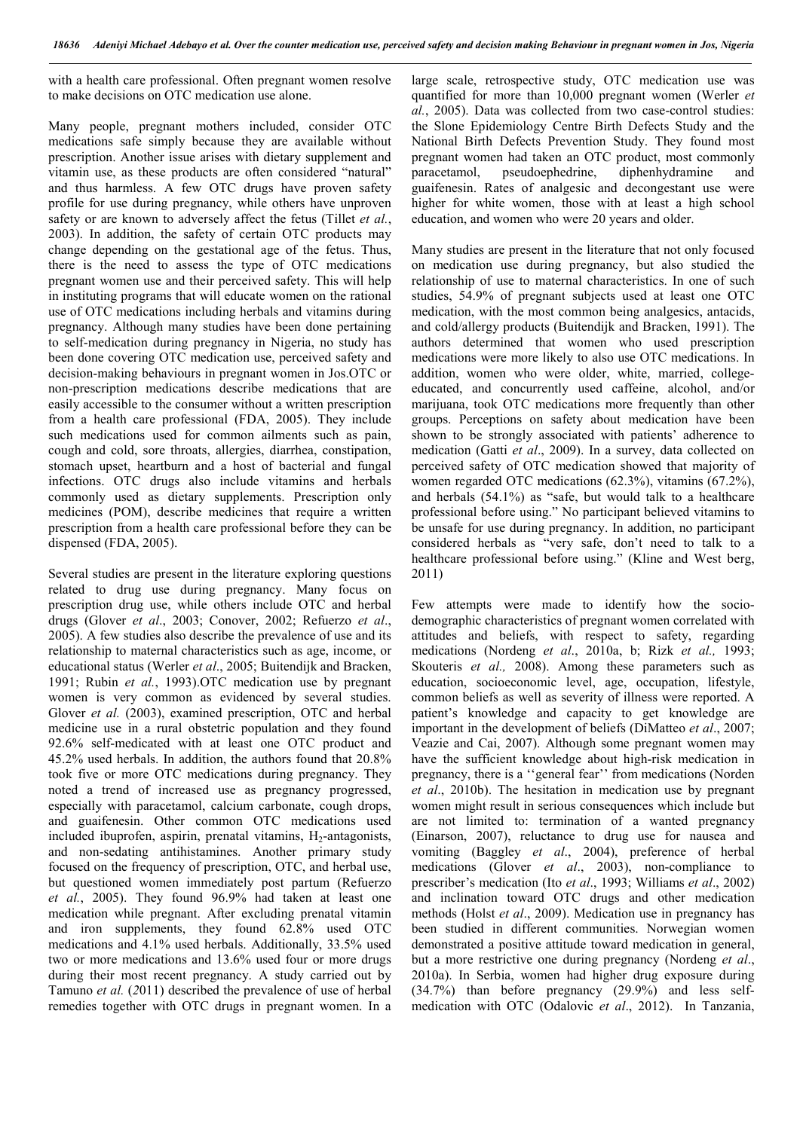with a health care professional. Often pregnant women resolve to make decisions on OTC medication use alone.

Many people, pregnant mothers included, consider OTC medications safe simply because they are available without prescription. Another issue arises with dietary supplement and vitamin use, as these products are often considered "natural" and thus harmless. A few OTC drugs have proven safety profile for use during pregnancy, while others have unproven safety or are known to adversely affect the fetus (Tillet *et al.*, 2003). In addition, the safety of certain OTC products may change depending on the gestational age of the fetus. Thus, there is the need to assess the type of OTC medications pregnant women use and their perceived safety. This will help in instituting programs that will educate women on the rational use of OTC medications including herbals and vitamins during pregnancy. Although many studies have been done pertaining to self-medication during pregnancy in Nigeria, no study has been done covering OTC medication use, perceived safety and decision-making behaviours in pregnant women in Jos.OTC or non-prescription medications describe medications that are easily accessible to the consumer without a written prescription from a health care professional (FDA, 2005). They include such medications used for common ailments such as pain, cough and cold, sore throats, allergies, diarrhea, constipation, stomach upset, heartburn and a host of bacterial and fungal infections. OTC drugs also include vitamins and herbals commonly used as dietary supplements. Prescription only medicines (POM), describe medicines that require a written prescription from a health care professional before they can be dispensed (FDA, 2005).

Several studies are present in the literature exploring questions related to drug use during pregnancy. Many focus on prescription drug use, while others include OTC and herbal drugs (Glover *et al*., 2003; Conover, 2002; Refuerzo *et al*., 2005). A few studies also describe the prevalence of use and its relationship to maternal characteristics such as age, income, or educational status (Werler *et al*., 2005; Buitendijk and Bracken, 1991; Rubin *et al.*, 1993).OTC medication use by pregnant women is very common as evidenced by several studies. Glover *et al.* (2003), examined prescription, OTC and herbal medicine use in a rural obstetric population and they found 92.6% self-medicated with at least one OTC product and 45.2% used herbals. In addition, the authors found that 20.8% took five or more OTC medications during pregnancy. They noted a trend of increased use as pregnancy progressed, especially with paracetamol, calcium carbonate, cough drops, and guaifenesin. Other common OTC medications used included ibuprofen, aspirin, prenatal vitamins, H<sub>2</sub>-antagonists, and non-sedating antihistamines. Another primary study focused on the frequency of prescription, OTC, and herbal use, but questioned women immediately post partum (Refuerzo *et al.*, 2005). They found 96.9% had taken at least one medication while pregnant. After excluding prenatal vitamin and iron supplements, they found 62.8% used OTC medications and 4.1% used herbals. Additionally, 33.5% used two or more medications and 13.6% used four or more drugs during their most recent pregnancy. A study carried out by Tamuno *et al.* (*2*011) described the prevalence of use of herbal remedies together with OTC drugs in pregnant women. In a large scale, retrospective study, OTC medication use was quantified for more than 10,000 pregnant women (Werler *et al.*, 2005). Data was collected from two case-control studies: the Slone Epidemiology Centre Birth Defects Study and the National Birth Defects Prevention Study. They found most pregnant women had taken an OTC product, most commonly paracetamol, pseudoephedrine, diphenhydramine and guaifenesin. Rates of analgesic and decongestant use were higher for white women, those with at least a high school education, and women who were 20 years and older.

Many studies are present in the literature that not only focused on medication use during pregnancy, but also studied the relationship of use to maternal characteristics. In one of such studies, 54.9% of pregnant subjects used at least one OTC medication, with the most common being analgesics, antacids, and cold/allergy products (Buitendijk and Bracken, 1991). The authors determined that women who used prescription medications were more likely to also use OTC medications. In addition, women who were older, white, married, collegeeducated, and concurrently used caffeine, alcohol, and/or marijuana, took OTC medications more frequently than other groups. Perceptions on safety about medication have been shown to be strongly associated with patients' adherence to medication (Gatti *et al*., 2009). In a survey, data collected on perceived safety of OTC medication showed that majority of women regarded OTC medications (62.3%), vitamins (67.2%), and herbals (54.1%) as "safe, but would talk to a healthcare professional before using." No participant believed vitamins to be unsafe for use during pregnancy. In addition, no participant considered herbals as "very safe, don't need to talk to a healthcare professional before using." (Kline and West berg, 2011)

Few attempts were made to identify how the sociodemographic characteristics of pregnant women correlated with attitudes and beliefs, with respect to safety, regarding medications (Nordeng *et al*., 2010a, b; Rizk *et al.,* 1993; Skouteris *et al.,* 2008). Among these parameters such as education, socioeconomic level, age, occupation, lifestyle, common beliefs as well as severity of illness were reported. A patient's knowledge and capacity to get knowledge are important in the development of beliefs (DiMatteo *et al*., 2007; Veazie and Cai, 2007). Although some pregnant women may have the sufficient knowledge about high-risk medication in pregnancy, there is a ''general fear'' from medications (Norden *et al*., 2010b). The hesitation in medication use by pregnant women might result in serious consequences which include but are not limited to: termination of a wanted pregnancy (Einarson, 2007), reluctance to drug use for nausea and vomiting (Baggley *et al*., 2004), preference of herbal medications (Glover *et al*., 2003), non-compliance to prescriber's medication (Ito *et al*., 1993; Williams *et al*., 2002) and inclination toward OTC drugs and other medication methods (Holst *et al*., 2009). Medication use in pregnancy has been studied in different communities. Norwegian women demonstrated a positive attitude toward medication in general, but a more restrictive one during pregnancy (Nordeng *et al*., 2010a). In Serbia, women had higher drug exposure during (34.7%) than before pregnancy (29.9%) and less selfmedication with OTC (Odalovic *et al*., 2012). In Tanzania,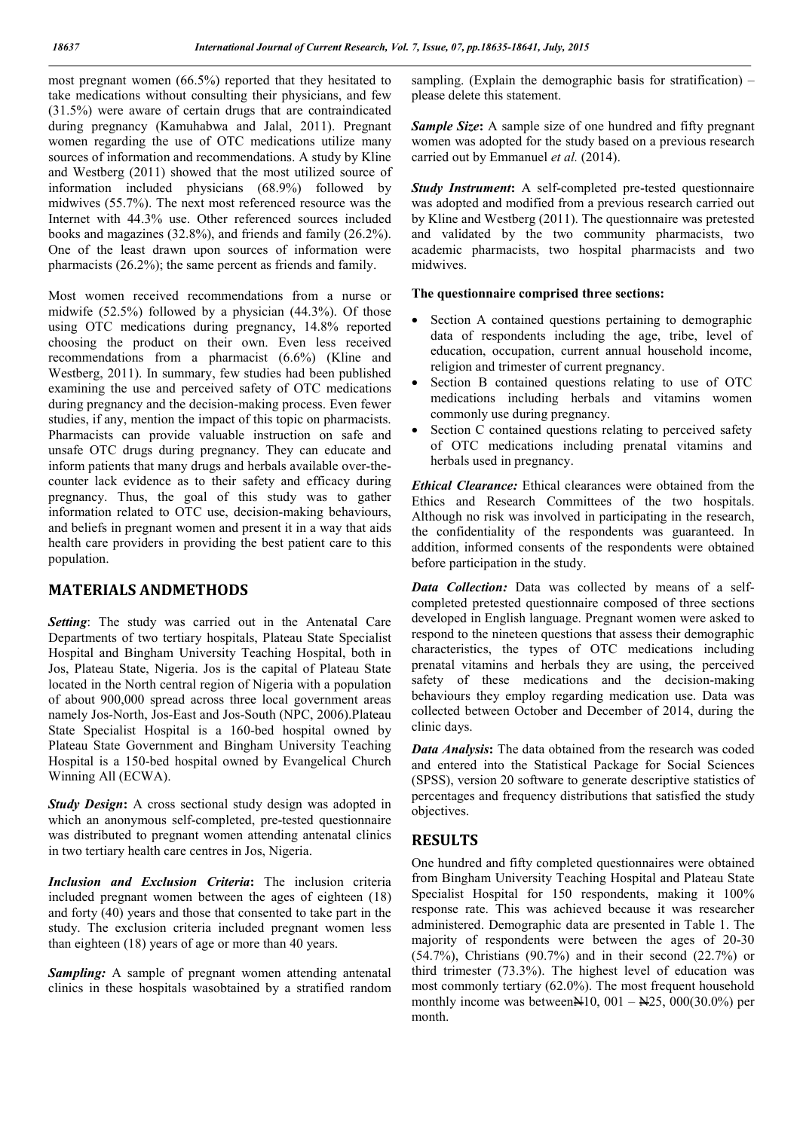most pregnant women (66.5%) reported that they hesitated to take medications without consulting their physicians, and few (31.5%) were aware of certain drugs that are contraindicated during pregnancy (Kamuhabwa and Jalal, 2011). Pregnant women regarding the use of OTC medications utilize many sources of information and recommendations. A study by Kline and Westberg (2011) showed that the most utilized source of information included physicians (68.9%) followed by midwives (55.7%). The next most referenced resource was the Internet with 44.3% use. Other referenced sources included books and magazines (32.8%), and friends and family (26.2%). One of the least drawn upon sources of information were pharmacists (26.2%); the same percent as friends and family.

Most women received recommendations from a nurse or midwife (52.5%) followed by a physician (44.3%). Of those using OTC medications during pregnancy, 14.8% reported choosing the product on their own. Even less received recommendations from a pharmacist (6.6%) (Kline and Westberg, 2011). In summary, few studies had been published examining the use and perceived safety of OTC medications during pregnancy and the decision-making process. Even fewer studies, if any, mention the impact of this topic on pharmacists. Pharmacists can provide valuable instruction on safe and unsafe OTC drugs during pregnancy. They can educate and inform patients that many drugs and herbals available over-thecounter lack evidence as to their safety and efficacy during pregnancy. Thus, the goal of this study was to gather information related to OTC use, decision-making behaviours, and beliefs in pregnant women and present it in a way that aids health care providers in providing the best patient care to this population.

# **MATERIALS ANDMETHODS**

*Setting*: The study was carried out in the Antenatal Care Departments of two tertiary hospitals, Plateau State Specialist Hospital and Bingham University Teaching Hospital, both in Jos, Plateau State, Nigeria. Jos is the capital of Plateau State located in the North central region of Nigeria with a population of about 900,000 spread across three local government areas namely Jos-North, Jos-East and Jos-South (NPC, 2006).Plateau State Specialist Hospital is a 160-bed hospital owned by Plateau State Government and Bingham University Teaching Hospital is a 150-bed hospital owned by Evangelical Church Winning All (ECWA).

*Study Design*: A cross sectional study design was adopted in which an anonymous self-completed, pre-tested questionnaire was distributed to pregnant women attending antenatal clinics in two tertiary health care centres in Jos, Nigeria.

*Inclusion and Exclusion Criteria***:** The inclusion criteria included pregnant women between the ages of eighteen (18) and forty (40) years and those that consented to take part in the study. The exclusion criteria included pregnant women less than eighteen (18) years of age or more than 40 years.

*Sampling:* A sample of pregnant women attending antenatal clinics in these hospitals wasobtained by a stratified random sampling. (Explain the demographic basis for stratification) – please delete this statement.

**Sample Size:** A sample size of one hundred and fifty pregnant women was adopted for the study based on a previous research carried out by Emmanuel *et al.* (2014).

*Study Instrument:* A self-completed pre-tested questionnaire was adopted and modified from a previous research carried out by Kline and Westberg (2011). The questionnaire was pretested and validated by the two community pharmacists, two academic pharmacists, two hospital pharmacists and two midwives.

#### **The questionnaire comprised three sections:**

- Section A contained questions pertaining to demographic data of respondents including the age, tribe, level of education, occupation, current annual household income, religion and trimester of current pregnancy.
- Section B contained questions relating to use of OTC medications including herbals and vitamins women commonly use during pregnancy.
- Section C contained questions relating to perceived safety of OTC medications including prenatal vitamins and herbals used in pregnancy.

*Ethical Clearance:* Ethical clearances were obtained from the Ethics and Research Committees of the two hospitals. Although no risk was involved in participating in the research, the confidentiality of the respondents was guaranteed. In addition, informed consents of the respondents were obtained before participation in the study.

*Data Collection:* Data was collected by means of a selfcompleted pretested questionnaire composed of three sections developed in English language. Pregnant women were asked to respond to the nineteen questions that assess their demographic characteristics, the types of OTC medications including prenatal vitamins and herbals they are using, the perceived safety of these medications and the decision-making behaviours they employ regarding medication use. Data was collected between October and December of 2014, during the clinic days.

*Data Analysis*: The data obtained from the research was coded and entered into the Statistical Package for Social Sciences (SPSS), version 20 software to generate descriptive statistics of percentages and frequency distributions that satisfied the study objectives.

### **RESULTS**

One hundred and fifty completed questionnaires were obtained from Bingham University Teaching Hospital and Plateau State Specialist Hospital for 150 respondents, making it 100% response rate. This was achieved because it was researcher administered. Demographic data are presented in Table 1. The majority of respondents were between the ages of 20-30 (54.7%), Christians (90.7%) and in their second (22.7%) or third trimester (73.3%). The highest level of education was most commonly tertiary (62.0%). The most frequent household monthly income was between $\mathbb{N}10$ , 001 –  $\mathbb{N}25$ , 000(30.0%) per month.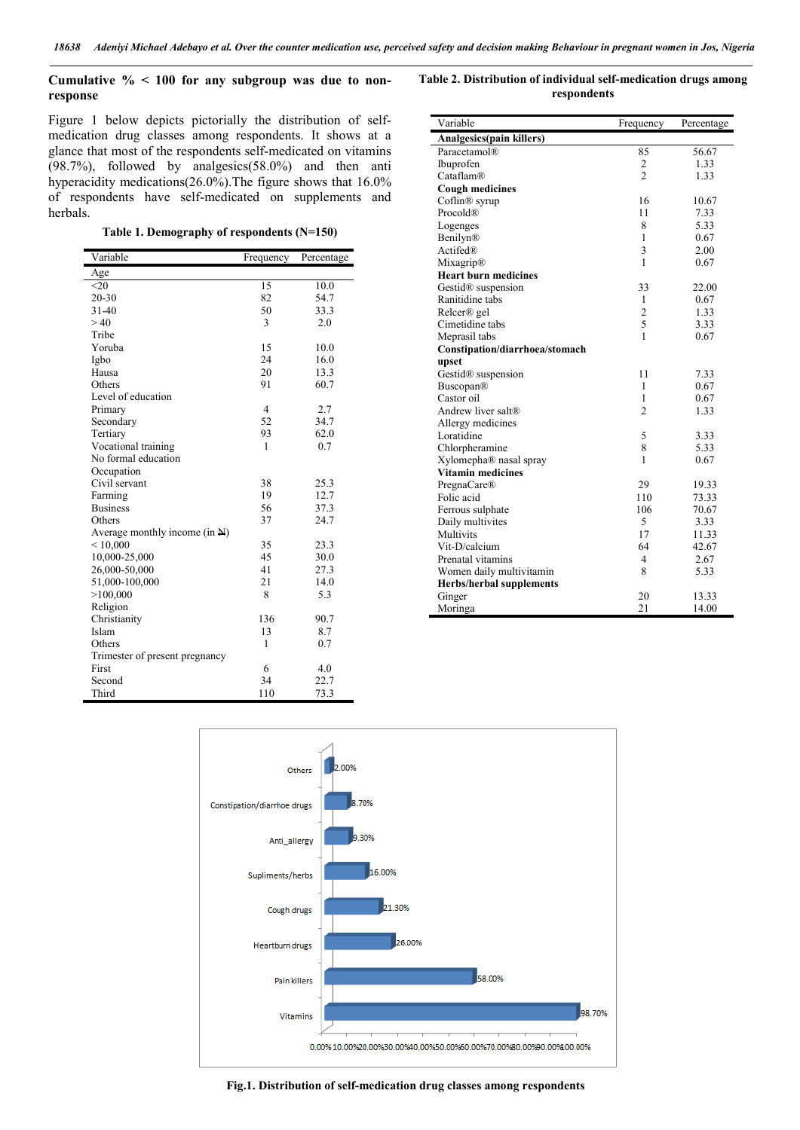#### **Cumulative % < 100 for any subgroup was due to nonresponse**

Figure 1 below depicts pictorially the distribution of selfmedication drug classes among respondents. It shows at a glance that most of the respondents self-medicated on vitamins (98.7%), followed by analgesics(58.0%) and then anti hyperacidity medications(26.0%).The figure shows that 16.0% of respondents have self-medicated on supplements and herbals.

**Table 1. Demography of respondents (N=150)**

| Variable                                 | Frequency      | Percentage |
|------------------------------------------|----------------|------------|
| Age                                      |                |            |
| $20$                                     | 15             | 10.0       |
| $20 - 30$                                | 82             | 54.7       |
| $31 - 40$                                | 50             | 33.3       |
| >40                                      | 3              | 2.0        |
| Tribe                                    |                |            |
| Yoruba                                   | 15             | 10.0       |
| Igbo                                     | 24             | 16.0       |
| Hausa                                    | 20             | 13.3       |
| Others                                   | 91             | 60.7       |
| Level of education                       |                |            |
| Primary                                  | $\overline{4}$ | 2.7        |
| Secondary                                | 52             | 34.7       |
| Tertiary                                 | 93             | 62.0       |
| Vocational training                      | 1              | 0.7        |
| No formal education                      |                |            |
| Occupation                               |                |            |
| Civil servant                            | 38             | 25.3       |
| Farming                                  | 19             | 12.7       |
| <b>Business</b>                          | 56             | 37.3       |
| Others                                   | 37             | 24.7       |
| Average monthly income $(in \mathbf{H})$ |                |            |
| ${}< 10,000$                             | 35             | 23.3       |
| 10,000-25,000                            | 45             | 30.0       |
| 26,000-50,000                            | 41             | 27.3       |
| 51,000-100,000                           | 21             | 14.0       |
| >100,000                                 | 8              | 5.3        |
| Religion                                 |                |            |
| Christianity                             | 136            | 90.7       |
| Islam                                    | 13             | 8.7        |
| Others                                   | 1              | 0.7        |
| Trimester of present pregnancy           |                |            |
| First                                    | 6              | 4.0        |
| Second                                   | 34             | 22.7       |
| Third                                    | 110            | 73.3       |

**Table 2. Distribution of individual self-medication drugs among respondents**

| Variable                        | Frequency      | Percentage |
|---------------------------------|----------------|------------|
| Analgesics(pain killers)        |                |            |
| Paracetamol®                    | 85             | 56.67      |
| Ibuprofen                       | $\overline{2}$ | 1.33       |
| Cataflam®                       | $\overline{c}$ | 1.33       |
| <b>Cough medicines</b>          |                |            |
| Coflin <sup>®</sup> syrup       | 16             | 10.67      |
| Procold®                        | 11             | 7.33       |
| Logenges                        | 8              | 5.33       |
| Benilyn®                        | 1              | 0.67       |
| Actifed®                        | 3              | 2.00       |
| Mixagrip®                       | 1              | 0.67       |
| <b>Heart burn medicines</b>     |                |            |
| Gestid <sup>®</sup> suspension  | 33             | 22.00      |
| Ranitidine tabs                 | 1              | 0.67       |
| Relcer® gel                     | $\overline{2}$ | 1.33       |
| Cimetidine tabs                 | 5              | 3.33       |
| Meprasil tabs                   | 1              | 0.67       |
| Constipation/diarrhoea/stomach  |                |            |
| upset                           |                |            |
| Gestid <sup>®</sup> suspension  | 11             | 7.33       |
| Buscopan®                       | 1              | 0.67       |
| Castor oil                      | 1              | 0.67       |
| Andrew liver salt®              | $\overline{2}$ | 1.33       |
| Allergy medicines               |                |            |
| Loratidine                      | 5              | 3.33       |
| Chlorpheramine                  | 8              | 5.33       |
| Xylomepha® nasal spray          | 1              | 0.67       |
| Vitamin medicines               |                |            |
| PregnaCare®                     | 29             | 19.33      |
| Folic acid                      | 110            | 73.33      |
| Ferrous sulphate                | 106            | 70.67      |
| Daily multivites                | 5              | 3.33       |
| Multivits                       | 17             | 11.33      |
| Vit-D/calcium                   | 64             | 42.67      |
| Prenatal vitamins               | 4              | 2.67       |
| Women daily multivitamin        | 8              | 5.33       |
| <b>Herbs/herbal supplements</b> |                |            |
| Ginger                          | 20             | 13.33      |
| Moringa                         | 21             | 14.00      |



**Fig.1. Distribution of self-medication drug classes among respondents**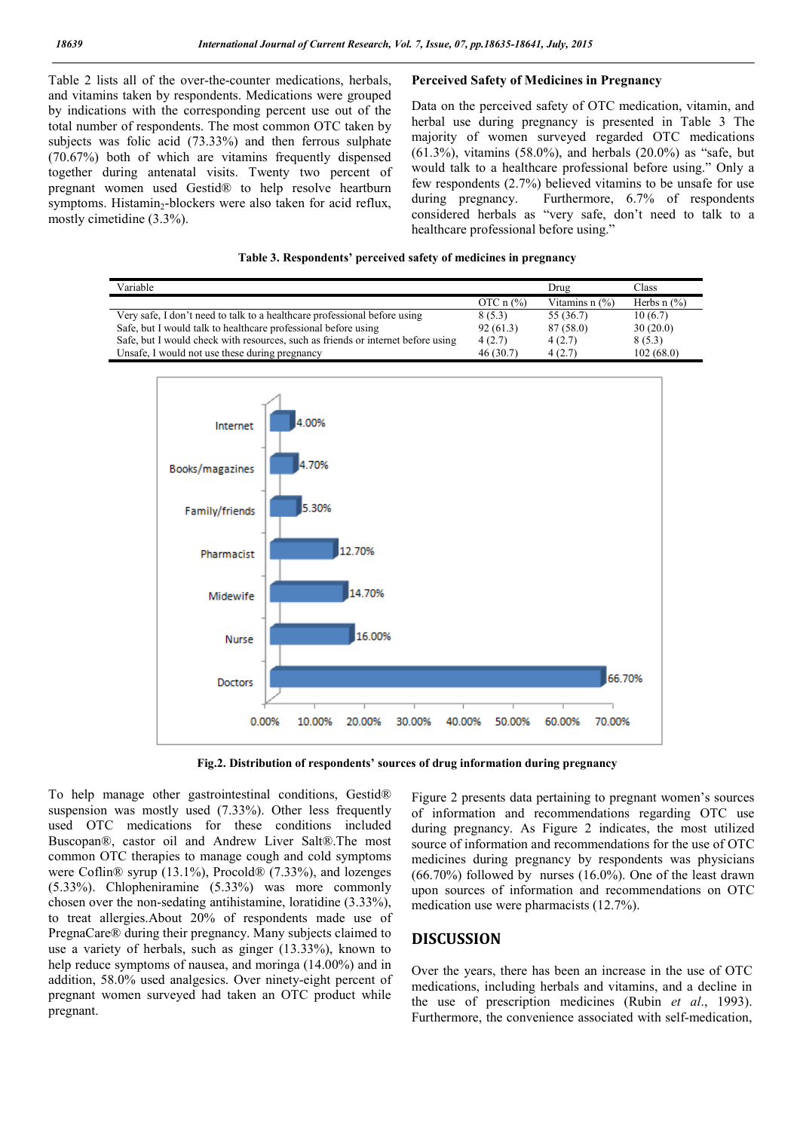Table 2 lists all of the over-the-counter medications, herbals, and vitamins taken by respondents. Medications were grouped by indications with the corresponding percent use out of the total number of respondents. The most common OTC taken by subjects was folic acid (73.33%) and then ferrous sulphate (70.67%) both of which are vitamins frequently dispensed together during antenatal visits. Twenty two percent of pregnant women used Gestid® to help resolve heartburn symptoms. Histamin-blockers were also taken for acid reflux, mostly cimetidine (3.3%).

#### **Perceived Safety of Medicines in Pregnancy**

Data on the perceived safety of OTC medication, vitamin, and herbal use during pregnancy is presented in Table 3 The majority of women surveyed regarded OTC medications (61.3%), vitamins (58.0%), and herbals (20.0%) as "safe, but would talk to a healthcare professional before using." Only a few respondents (2.7%) believed vitamins to be unsafe for use during pregnancy. Furthermore, 6.7% of respondents considered herbals as "very safe, don't need to talk to a healthcare professional before using."



| Variable                                                                         |                         | Drug                       | <b>Class</b>     |
|----------------------------------------------------------------------------------|-------------------------|----------------------------|------------------|
|                                                                                  | OTC $n$ $\frac{\%}{\%}$ | Vitamins $n$ $\frac{9}{6}$ | Herbs $n$ $(\%)$ |
| Very safe, I don't need to talk to a healthcare professional before using        | 8(5.3)                  | 55 (36.7)                  | 10(6.7)          |
| Safe, but I would talk to healthcare professional before using                   | 92(61.3)                | 87 (58.0)                  | 30(20.0)         |
| Safe, but I would check with resources, such as friends or internet before using | 4(2.7)                  | 4(2.7)                     | 8(5.3)           |
| Unsafe, I would not use these during pregnancy                                   | 46(30.7)                | 4(2.7)                     | 102(68.0)        |



**Fig.2. Distribution of respondents' sources of drug information during pregnancy**

To help manage other gastrointestinal conditions, Gestid® suspension was mostly used (7.33%). Other less frequently used OTC medications for these conditions included Buscopan®, castor oil and Andrew Liver Salt®.The most common OTC therapies to manage cough and cold symptoms were Coflin® syrup (13.1%), Procold® (7.33%), and lozenges (5.33%). Chlopheniramine (5.33%) was more commonly chosen over the non-sedating antihistamine, loratidine (3.33%), to treat allergies.About 20% of respondents made use of PregnaCare® during their pregnancy. Many subjects claimed to use a variety of herbals, such as ginger (13.33%), known to help reduce symptoms of nausea, and moringa (14,00%) and in addition, 58.0% used analgesics. Over ninety-eight percent of pregnant women surveyed had taken an OTC product while pregnant.

Figure 2 presents data pertaining to pregnant women's sources of information and recommendations regarding OTC use during pregnancy. As Figure 2 indicates, the most utilized source of information and recommendations for the use of OTC medicines during pregnancy by respondents was physicians  $(66.70\%)$  followed by nurses  $(16.0\%)$ . One of the least drawn upon sources of information and recommendations on OTC medication use were pharmacists (12.7%).

#### **DISCUSSION**

Over the years, there has been an increase in the use of OTC medications, including herbals and vitamins, and a decline in the use of prescription medicines (Rubin *et al*., 1993). Furthermore, the convenience associated with self-medication,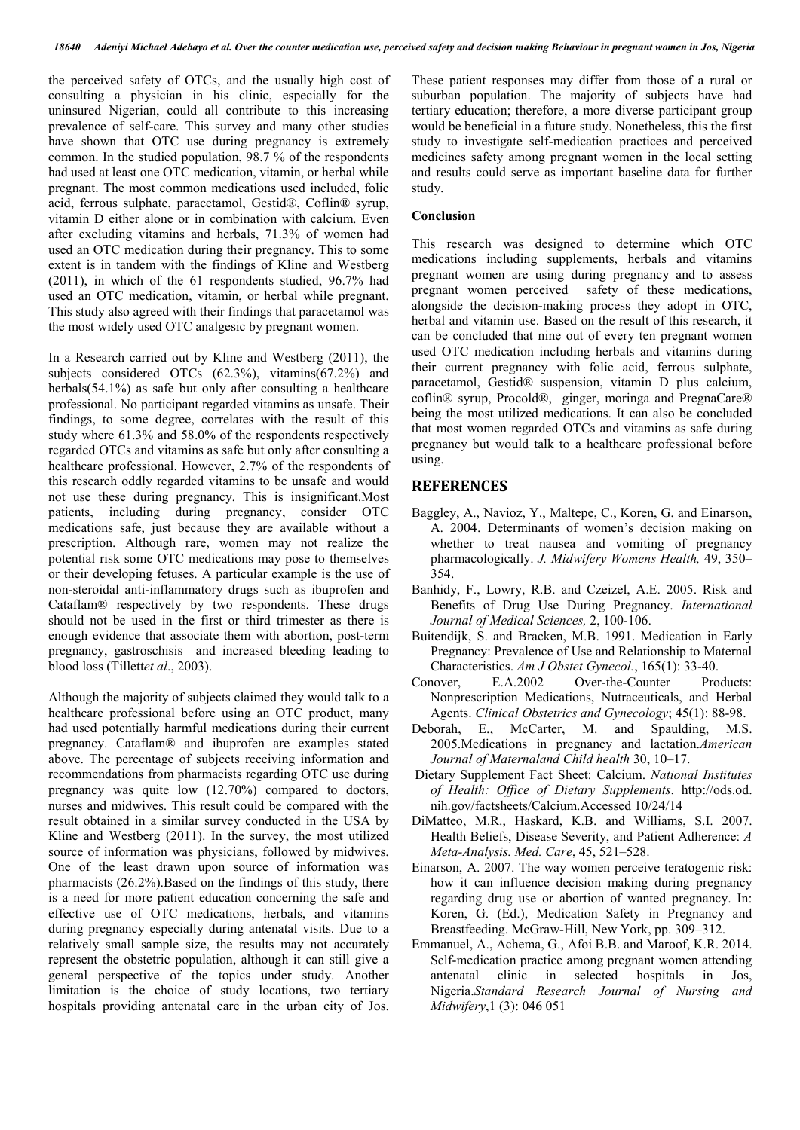the perceived safety of OTCs, and the usually high cost of consulting a physician in his clinic, especially for the uninsured Nigerian, could all contribute to this increasing prevalence of self-care. This survey and many other studies have shown that OTC use during pregnancy is extremely common. In the studied population, 98.7 % of the respondents had used at least one OTC medication, vitamin, or herbal while pregnant. The most common medications used included, folic acid, ferrous sulphate, paracetamol, Gestid®, Coflin® syrup, vitamin D either alone or in combination with calcium. Even after excluding vitamins and herbals, 71.3% of women had used an OTC medication during their pregnancy. This to some extent is in tandem with the findings of Kline and Westberg (2011), in which of the 61 respondents studied, 96.7% had used an OTC medication, vitamin, or herbal while pregnant. This study also agreed with their findings that paracetamol was the most widely used OTC analgesic by pregnant women.

In a Research carried out by Kline and Westberg (2011), the subjects considered OTCs (62.3%), vitamins(67.2%) and herbals(54.1%) as safe but only after consulting a healthcare professional. No participant regarded vitamins as unsafe. Their findings, to some degree, correlates with the result of this study where 61.3% and 58.0% of the respondents respectively regarded OTCs and vitamins as safe but only after consulting a healthcare professional. However, 2.7% of the respondents of this research oddly regarded vitamins to be unsafe and would not use these during pregnancy. This is insignificant.Most patients, including during pregnancy, consider OTC medications safe, just because they are available without a prescription. Although rare, women may not realize the potential risk some OTC medications may pose to themselves or their developing fetuses. A particular example is the use of non-steroidal anti-inflammatory drugs such as ibuprofen and Cataflam® respectively by two respondents. These drugs should not be used in the first or third trimester as there is enough evidence that associate them with abortion, post-term pregnancy, gastroschisis and increased bleeding leading to blood loss (Tillett*et al*., 2003).

Although the majority of subjects claimed they would talk to a healthcare professional before using an OTC product, many had used potentially harmful medications during their current pregnancy. Cataflam® and ibuprofen are examples stated above. The percentage of subjects receiving information and recommendations from pharmacists regarding OTC use during pregnancy was quite low (12.70%) compared to doctors, nurses and midwives. This result could be compared with the result obtained in a similar survey conducted in the USA by Kline and Westberg (2011). In the survey, the most utilized source of information was physicians, followed by midwives. One of the least drawn upon source of information was pharmacists (26.2%).Based on the findings of this study, there is a need for more patient education concerning the safe and effective use of OTC medications, herbals, and vitamins during pregnancy especially during antenatal visits. Due to a relatively small sample size, the results may not accurately represent the obstetric population, although it can still give a general perspective of the topics under study. Another limitation is the choice of study locations, two tertiary hospitals providing antenatal care in the urban city of Jos.

These patient responses may differ from those of a rural or suburban population. The majority of subjects have had tertiary education; therefore, a more diverse participant group would be beneficial in a future study. Nonetheless, this the first study to investigate self-medication practices and perceived medicines safety among pregnant women in the local setting and results could serve as important baseline data for further study.

#### **Conclusion**

This research was designed to determine which OTC medications including supplements, herbals and vitamins pregnant women are using during pregnancy and to assess pregnant women perceived safety of these medications, alongside the decision-making process they adopt in OTC, herbal and vitamin use. Based on the result of this research, it can be concluded that nine out of every ten pregnant women used OTC medication including herbals and vitamins during their current pregnancy with folic acid, ferrous sulphate, paracetamol, Gestid® suspension, vitamin D plus calcium, coflin® syrup, Procold®, ginger, moringa and PregnaCare® being the most utilized medications. It can also be concluded that most women regarded OTCs and vitamins as safe during pregnancy but would talk to a healthcare professional before using.

#### **REFERENCES**

- Baggley, A., Navioz, Y., Maltepe, C., Koren, G. and Einarson, A. 2004. Determinants of women's decision making on whether to treat nausea and vomiting of pregnancy pharmacologically. *J. Midwifery Womens Health,* 49, 350– 354.
- Banhidy, F., Lowry, R.B. and Czeizel, A.E. 2005. Risk and Benefits of Drug Use During Pregnancy. *International Journal of Medical Sciences,* 2, 100-106.
- Buitendijk, S. and Bracken, M.B. 1991. Medication in Early Pregnancy: Prevalence of Use and Relationship to Maternal Characteristics. *Am J Obstet Gynecol.*, 165(1): 33-40.
- Conover, E.A.2002 Over-the-Counter Products: Nonprescription Medications, Nutraceuticals, and Herbal Agents. *Clinical Obstetrics and Gynecology*; 45(1): 88-98.
- Deborah, E., McCarter, M. and Spaulding, M.S. 2005.Medications in pregnancy and lactation.*American Journal of Maternaland Child health* 30, 10–17.
- Dietary Supplement Fact Sheet: Calcium. *National Institutes of Health: Office of Dietary Supplements*. http://ods.od. nih.gov/factsheets/Calcium.Accessed 10/24/14
- DiMatteo, M.R., Haskard, K.B. and Williams, S.I. 2007. Health Beliefs, Disease Severity, and Patient Adherence: *A Meta-Analysis. Med. Care*, 45, 521–528.
- Einarson, A. 2007. The way women perceive teratogenic risk: how it can influence decision making during pregnancy regarding drug use or abortion of wanted pregnancy. In: Koren, G. (Ed.), Medication Safety in Pregnancy and Breastfeeding. McGraw-Hill, New York, pp. 309–312.
- Emmanuel, A., Achema, G., Afoi B.B. and Maroof, K.R. 2014. Self-medication practice among pregnant women attending antenatal clinic in selected hospitals in Jos, Nigeria.*Standard Research Journal of Nursing and Midwifery*,1 (3): 046 051